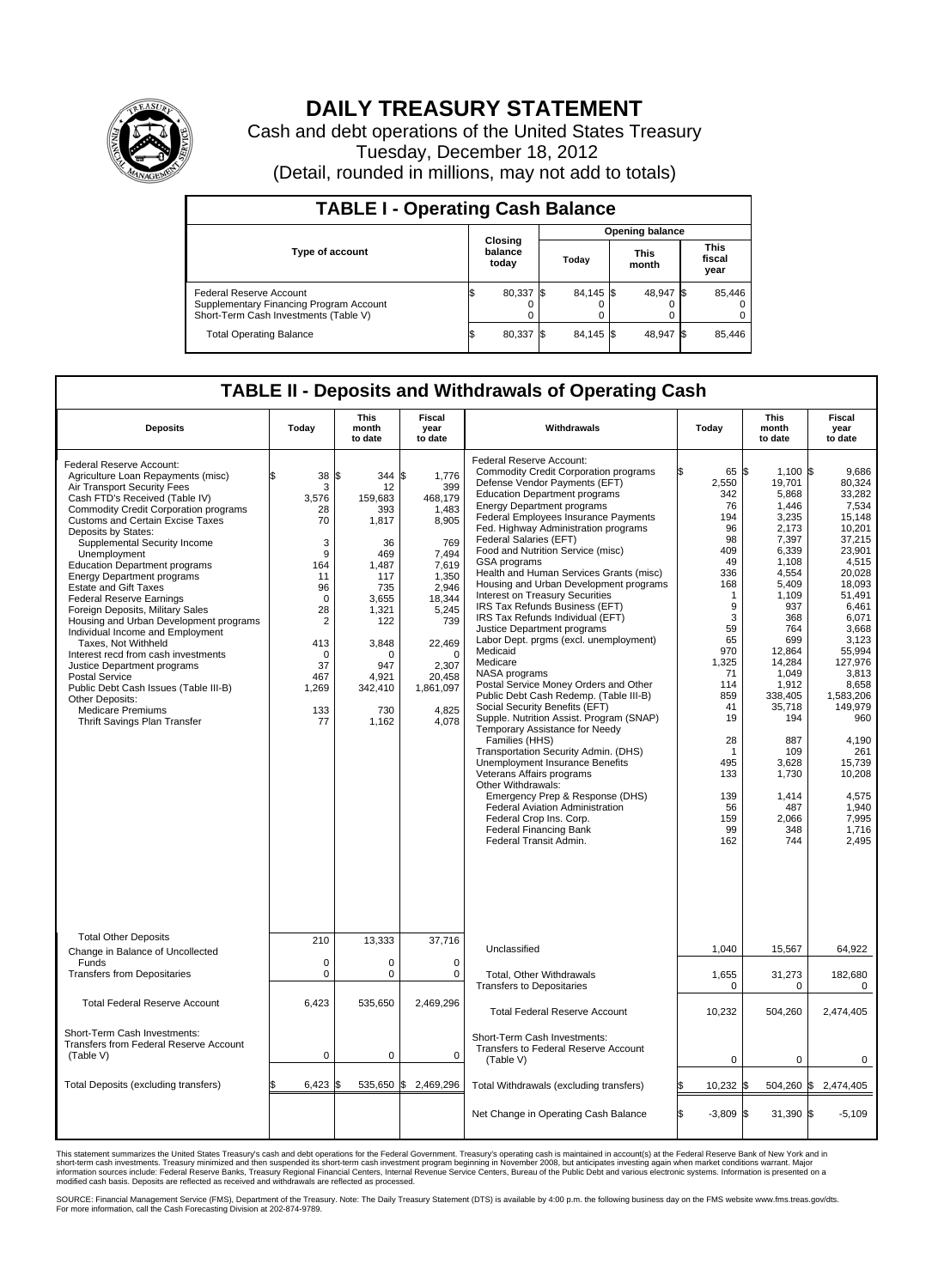

## **DAILY TREASURY STATEMENT**

Cash and debt operations of the United States Treasury Tuesday, December 18, 2012 (Detail, rounded in millions, may not add to totals)

| <b>TABLE I - Operating Cash Balance</b>                                                                     |                             |   |                 |                      |                               |  |  |  |  |
|-------------------------------------------------------------------------------------------------------------|-----------------------------|---|-----------------|----------------------|-------------------------------|--|--|--|--|
|                                                                                                             | Closing<br>balance<br>today |   | Opening balance |                      |                               |  |  |  |  |
| <b>Type of account</b>                                                                                      |                             |   | Today           | <b>This</b><br>month | <b>This</b><br>fiscal<br>year |  |  |  |  |
| Federal Reserve Account<br>Supplementary Financing Program Account<br>Short-Term Cash Investments (Table V) | 80,337 \$                   | 0 | 84,145 \$       | 48,947 \$            | 85,446<br>$\Omega$<br>0       |  |  |  |  |
| <b>Total Operating Balance</b>                                                                              | 80,337                      |   | 84.145 \$       | 48,947 \$            | 85,446                        |  |  |  |  |

## **TABLE II - Deposits and Withdrawals of Operating Cash**

| <b>Deposits</b>                                                                                                                                                                                                                                                                                                                                                                                                                                                                                                                                                                                                                                                                                                                                                                                     | Today                                                                                                                                             | This<br>month<br>to date                                                                                                                                   | Fiscal<br>year<br>to date                                                                                                                                                                       | Withdrawals                                                                                                                                                                                                                                                                                                                                                                                                                                                                                                                                                                                                                                                                                                                                                                                                                                                                                                                                                                                                                                                                                                                                                                                 | Today                                                                                                                                                                                                                      | This<br>month<br>to date                                                                                                                                                                                                                                                            | Fiscal<br>vear<br>to date                                                                                                                                                                                                                                                                                    |  |  |
|-----------------------------------------------------------------------------------------------------------------------------------------------------------------------------------------------------------------------------------------------------------------------------------------------------------------------------------------------------------------------------------------------------------------------------------------------------------------------------------------------------------------------------------------------------------------------------------------------------------------------------------------------------------------------------------------------------------------------------------------------------------------------------------------------------|---------------------------------------------------------------------------------------------------------------------------------------------------|------------------------------------------------------------------------------------------------------------------------------------------------------------|-------------------------------------------------------------------------------------------------------------------------------------------------------------------------------------------------|---------------------------------------------------------------------------------------------------------------------------------------------------------------------------------------------------------------------------------------------------------------------------------------------------------------------------------------------------------------------------------------------------------------------------------------------------------------------------------------------------------------------------------------------------------------------------------------------------------------------------------------------------------------------------------------------------------------------------------------------------------------------------------------------------------------------------------------------------------------------------------------------------------------------------------------------------------------------------------------------------------------------------------------------------------------------------------------------------------------------------------------------------------------------------------------------|----------------------------------------------------------------------------------------------------------------------------------------------------------------------------------------------------------------------------|-------------------------------------------------------------------------------------------------------------------------------------------------------------------------------------------------------------------------------------------------------------------------------------|--------------------------------------------------------------------------------------------------------------------------------------------------------------------------------------------------------------------------------------------------------------------------------------------------------------|--|--|
| Federal Reserve Account:<br>Agriculture Loan Repayments (misc)<br>Air Transport Security Fees<br>Cash FTD's Received (Table IV)<br>Commodity Credit Corporation programs<br><b>Customs and Certain Excise Taxes</b><br>Deposits by States:<br>Supplemental Security Income<br>Unemployment<br><b>Education Department programs</b><br><b>Energy Department programs</b><br><b>Estate and Gift Taxes</b><br><b>Federal Reserve Earnings</b><br>Foreign Deposits, Military Sales<br>Housing and Urban Development programs<br>Individual Income and Employment<br>Taxes, Not Withheld<br>Interest recd from cash investments<br>Justice Department programs<br>Postal Service<br>Public Debt Cash Issues (Table III-B)<br>Other Deposits:<br><b>Medicare Premiums</b><br>Thrift Savings Plan Transfer | 38 S<br>3<br>3,576<br>28<br>70<br>3<br>9<br>164<br>11<br>96<br>0<br>28<br>$\overline{2}$<br>413<br>$\mathbf 0$<br>37<br>467<br>1,269<br>133<br>77 | 344<br>12<br>159,683<br>393<br>1,817<br>36<br>469<br>1.487<br>117<br>735<br>3,655<br>1,321<br>122<br>3,848<br>0<br>947<br>4.921<br>342,410<br>730<br>1,162 | \$<br>1,776<br>399<br>468,179<br>1.483<br>8,905<br>769<br>7.494<br>7,619<br>1,350<br>2,946<br>18,344<br>5,245<br>739<br>22,469<br>$\mathbf 0$<br>2,307<br>20.458<br>1,861,097<br>4.825<br>4,078 | Federal Reserve Account:<br><b>Commodity Credit Corporation programs</b><br>Defense Vendor Payments (EFT)<br><b>Education Department programs</b><br><b>Energy Department programs</b><br>Federal Employees Insurance Payments<br>Fed. Highway Administration programs<br>Federal Salaries (EFT)<br>Food and Nutrition Service (misc)<br>GSA programs<br>Health and Human Services Grants (misc)<br>Housing and Urban Development programs<br>Interest on Treasury Securities<br>IRS Tax Refunds Business (EFT)<br>IRS Tax Refunds Individual (EFT)<br>Justice Department programs<br>Labor Dept. prgms (excl. unemployment)<br>Medicaid<br>Medicare<br>NASA programs<br>Postal Service Money Orders and Other<br>Public Debt Cash Redemp. (Table III-B)<br>Social Security Benefits (EFT)<br>Supple. Nutrition Assist. Program (SNAP)<br>Temporary Assistance for Needy<br>Families (HHS)<br>Transportation Security Admin. (DHS)<br>Unemployment Insurance Benefits<br>Veterans Affairs programs<br>Other Withdrawals:<br>Emergency Prep & Response (DHS)<br><b>Federal Aviation Administration</b><br>Federal Crop Ins. Corp.<br><b>Federal Financing Bank</b><br>Federal Transit Admin. | 65 \$<br>2,550<br>342<br>76<br>194<br>96<br>98<br>409<br>49<br>336<br>168<br>$\mathbf{1}$<br>9<br>3<br>59<br>65<br>970<br>1,325<br>71<br>114<br>859<br>41<br>19<br>28<br>-1<br>495<br>133<br>139<br>56<br>159<br>99<br>162 | $1,100$ \$<br>19,701<br>5,868<br>1,446<br>3,235<br>2,173<br>7,397<br>6.339<br>1,108<br>4,554<br>5,409<br>1.109<br>937<br>368<br>764<br>699<br>12.864<br>14,284<br>1,049<br>1,912<br>338,405<br>35,718<br>194<br>887<br>109<br>3,628<br>1,730<br>1,414<br>487<br>2,066<br>348<br>744 | 9.686<br>80,324<br>33,282<br>7,534<br>15.148<br>10,201<br>37,215<br>23.901<br>4,515<br>20,028<br>18,093<br>51.491<br>6,461<br>6,071<br>3,668<br>3,123<br>55.994<br>127,976<br>3,813<br>8,658<br>1,583,206<br>149,979<br>960<br>4,190<br>261<br>15.739<br>10,208<br>4,575<br>1.940<br>7,995<br>1,716<br>2,495 |  |  |
| <b>Total Other Deposits</b><br>Change in Balance of Uncollected                                                                                                                                                                                                                                                                                                                                                                                                                                                                                                                                                                                                                                                                                                                                     | 210                                                                                                                                               | 13,333                                                                                                                                                     | 37,716                                                                                                                                                                                          | Unclassified                                                                                                                                                                                                                                                                                                                                                                                                                                                                                                                                                                                                                                                                                                                                                                                                                                                                                                                                                                                                                                                                                                                                                                                | 1,040                                                                                                                                                                                                                      | 15,567                                                                                                                                                                                                                                                                              | 64,922                                                                                                                                                                                                                                                                                                       |  |  |
| Funds<br><b>Transfers from Depositaries</b>                                                                                                                                                                                                                                                                                                                                                                                                                                                                                                                                                                                                                                                                                                                                                         | $\mathbf 0$<br>$\mathbf 0$                                                                                                                        | 0<br>0                                                                                                                                                     | $\mathbf 0$<br>$\mathbf 0$                                                                                                                                                                      | Total, Other Withdrawals<br><b>Transfers to Depositaries</b>                                                                                                                                                                                                                                                                                                                                                                                                                                                                                                                                                                                                                                                                                                                                                                                                                                                                                                                                                                                                                                                                                                                                | 1,655<br>$\mathbf 0$                                                                                                                                                                                                       | 31,273<br>$\mathbf 0$                                                                                                                                                                                                                                                               | 182,680<br>$\mathbf 0$                                                                                                                                                                                                                                                                                       |  |  |
| <b>Total Federal Reserve Account</b>                                                                                                                                                                                                                                                                                                                                                                                                                                                                                                                                                                                                                                                                                                                                                                | 6.423                                                                                                                                             | 535,650                                                                                                                                                    | 2,469,296                                                                                                                                                                                       | <b>Total Federal Reserve Account</b>                                                                                                                                                                                                                                                                                                                                                                                                                                                                                                                                                                                                                                                                                                                                                                                                                                                                                                                                                                                                                                                                                                                                                        | 10,232                                                                                                                                                                                                                     | 504,260                                                                                                                                                                                                                                                                             | 2,474,405                                                                                                                                                                                                                                                                                                    |  |  |
| Short-Term Cash Investments:<br>Transfers from Federal Reserve Account<br>(Table V)                                                                                                                                                                                                                                                                                                                                                                                                                                                                                                                                                                                                                                                                                                                 | $\mathbf 0$                                                                                                                                       | $\mathbf 0$                                                                                                                                                | $\mathbf 0$                                                                                                                                                                                     | Short-Term Cash Investments:<br><b>Transfers to Federal Reserve Account</b><br>(Table V)                                                                                                                                                                                                                                                                                                                                                                                                                                                                                                                                                                                                                                                                                                                                                                                                                                                                                                                                                                                                                                                                                                    | $\mathbf 0$                                                                                                                                                                                                                | 0                                                                                                                                                                                                                                                                                   | 0                                                                                                                                                                                                                                                                                                            |  |  |
| Total Deposits (excluding transfers)                                                                                                                                                                                                                                                                                                                                                                                                                                                                                                                                                                                                                                                                                                                                                                | $6,423$ \$                                                                                                                                        | 535,650                                                                                                                                                    | \$<br>2,469,296                                                                                                                                                                                 | Total Withdrawals (excluding transfers)                                                                                                                                                                                                                                                                                                                                                                                                                                                                                                                                                                                                                                                                                                                                                                                                                                                                                                                                                                                                                                                                                                                                                     | 10,232 \$                                                                                                                                                                                                                  |                                                                                                                                                                                                                                                                                     | 504,260 \$ 2,474,405                                                                                                                                                                                                                                                                                         |  |  |
|                                                                                                                                                                                                                                                                                                                                                                                                                                                                                                                                                                                                                                                                                                                                                                                                     |                                                                                                                                                   |                                                                                                                                                            |                                                                                                                                                                                                 | Net Change in Operating Cash Balance                                                                                                                                                                                                                                                                                                                                                                                                                                                                                                                                                                                                                                                                                                                                                                                                                                                                                                                                                                                                                                                                                                                                                        | l\$<br>$-3,809$ \$                                                                                                                                                                                                         | $31,390$ \$                                                                                                                                                                                                                                                                         | $-5,109$                                                                                                                                                                                                                                                                                                     |  |  |

This statement summarizes the United States Treasury's cash and debt operations for the Federal Government. Treasury's operating cash is maintained in account(s) at the Federal Reserve Bank of New York and in<br>short-term ca

SOURCE: Financial Management Service (FMS), Department of the Treasury. Note: The Daily Treasury Statement (DTS) is available by 4:00 p.m. the following business day on the FMS website www.fms.treas.gov/dts.<br>For more infor